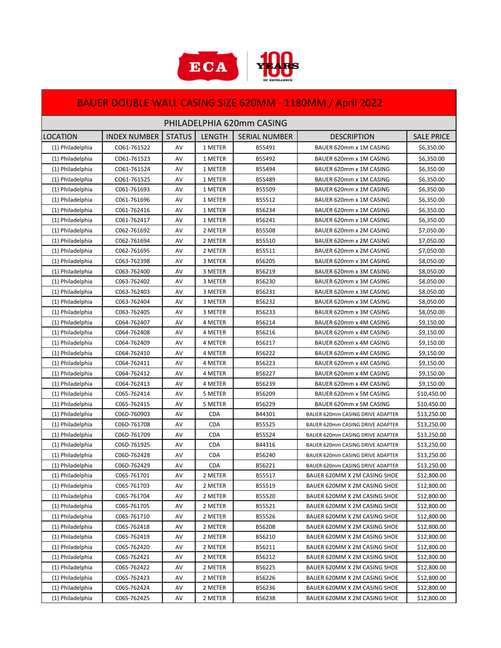

## BAUER DOUBLE WALL CASING SIZE 620MM - 1180MM / April 2022

| PHILADELPHIA 620mm CASING |                     |               |               |                      |                                  |                   |
|---------------------------|---------------------|---------------|---------------|----------------------|----------------------------------|-------------------|
| <b>LOCATION</b>           | <b>INDEX NUMBER</b> | <b>STATUS</b> | <b>LENGTH</b> | <b>SERIAL NUMBER</b> | <b>DESCRIPTION</b>               | <b>SALE PRICE</b> |
| (1) Philadelphia          | CO61-761522         | AV            | 1 METER       | B55491               | BAUER 620mm x 1M CASING          | \$6,350.00        |
| (1) Philadelphia          | CO61-761523         | AV            | 1 METER       | B55492               | BAUER 620mm x 1M CASING          | \$6,350.00        |
| (1) Philadelphia          | CO61-761524         | AV            | 1 METER       | B55494               | BAUER 620mm x 1M CASING          | \$6,350.00        |
| (1) Philadelphia          | CO61-761525         | AV            | 1 METER       | B55489               | BAUER 620mm x 1M CASING          | \$6,350.00        |
| (1) Philadelphia          | C061-761693         | AV            | 1 METER       | B55509               | BAUER 620mm x 1M CASING          | \$6,350.00        |
| (1) Philadelphia          | C061-761696         | AV            | 1 METER       | B55512               | BAUER 620mm x 1M CASING          | \$6,350.00        |
| (1) Philadelphia          | C061-762416         | AV            | 1 METER       | B56234               | BAUER 620mm x 1M CASING          | \$6,350.00        |
| (1) Philadelphia          | C061-762417         | AV            | 1 METER       | B56241               | BAUER 620mm x 1M CASING          | \$6,350.00        |
| (1) Philadelphia          | C062-761692         | AV            | 2 METER       | B55508               | BAUER 620mm x 2M CASING          | \$7,050.00        |
| (1) Philadelphia          | C062-761694         | AV            | 2 METER       | B55510               | BAUER 620mm x 2M CASING          | \$7,050.00        |
| (1) Philadelphia          | C062-761695         | AV            | 2 METER       | B55511               | BAUER 620mm x 2M CASING          | \$7,050.00        |
| (1) Philadelphia          | C063-762398         | AV            | 3 METER       | B56205               | BAUER 620mm x 3M CASING          | \$8,050.00        |
| (1) Philadelphia          | C063-762400         | AV            | 3 METER       | B56219               | BAUER 620mm x 3M CASING          | \$8,050.00        |
| (1) Philadelphia          | C063-762402         | AV            | 3 METER       | B56230               | BAUER 620mm x 3M CASING          | \$8,050.00        |
| (1) Philadelphia          | C063-762403         | AV            | 3 METER       | B56231               | BAUER 620mm x 3M CASING          | \$8,050.00        |
| (1) Philadelphia          | C063-762404         | AV            | 3 METER       | B56232               | BAUER 620mm x 3M CASING          | \$8,050.00        |
| (1) Philadelphia          | C063-762405         | AV            | 3 METER       | B56233               | BAUER 620mm x 3M CASING          | \$8,050.00        |
| (1) Philadelphia          | C064-762407         | AV            | 4 METER       | B56214               | BAUER 620mm x 4M CASING          | \$9,150.00        |
| (1) Philadelphia          | C064-762408         | AV            | 4 METER       | B56216               | BAUER 620mm x 4M CASING          | \$9,150.00        |
| (1) Philadelphia          | C064-762409         | AV            | 4 METER       | B56217               | BAUER 620mm x 4M CASING          | \$9,150.00        |
| (1) Philadelphia          | C064-762410         | AV            | 4 METER       | B56222               | BAUER 620mm x 4M CASING          | \$9,150.00        |
| (1) Philadelphia          | C064-762411         | AV            | 4 METER       | B56223               | BAUER 620mm x 4M CASING          | \$9,150.00        |
| (1) Philadelphia          | C064-762412         | AV            | 4 METER       | B56227               | BAUER 620mm x 4M CASING          | \$9,150.00        |
| (1) Philadelphia          | C064-762413         | AV            | 4 METER       | B56239               | BAUER 620mm x 4M CASING          | \$9,150.00        |
| (1) Philadelphia          | C065-762414         | AV            | 5 METER       | B56209               | BAUER 620mm x 5M CASING          | \$10,450.00       |
| (1) Philadelphia          | C065-762415         | AV            | 5 METER       | B56229               | BAUER 620mm x 5M CASING          | \$10,450.00       |
| (1) Philadelphia          | C06D-760903         | AV            | <b>CDA</b>    | B44301               | BAUER 620mm CASING DRIVE ADAPTER | \$13,250.00       |
| (1) Philadelphia          | C06D-761708         | AV            | <b>CDA</b>    | B55525               | BAUER 620mm CASING DRIVE ADAPTER | \$13,250.00       |
| (1) Philadelphia          | C06D-761709         | AV            | <b>CDA</b>    | B55524               | BAUER 620mm CASING DRIVE ADAPTER | \$13,250.00       |
| (1) Philadelphia          | C06D-761925         | AV            | <b>CDA</b>    | B44316               | BAUER 620mm CASING DRIVE ADAPTER | \$13,250.00       |
| (1) Philadelphia          | C06D-762428         | AV            | <b>CDA</b>    | B56240               | BAUER 620mm CASING DRIVE ADAPTER | \$13,250.00       |
| (1) Philadelphia          | C06D-762429         | AV            | <b>CDA</b>    | B56221               | BAUER 620mm CASING DRIVE ADAPTER | \$13,250.00       |
| (1) Philadelphia          | C06S-761701         | AV            | 2 METER       | B55517               | BAUER 620MM X 2M CASING SHOE     | \$12,800.00       |
| (1) Philadelphia          | C06S-761703         | AV            | 2 METER       | B55519               | BAUER 620MM X 2M CASING SHOE     | \$12,800.00       |
| (1) Philadelphia          | C06S-761704         | AV            | 2 METER       | B55520               | BAUER 620MM X 2M CASING SHOE     | \$12,800.00       |
| (1) Philadelphia          | C06S-761705         | AV            | 2 METER       | B55521               | BAUER 620MM X 2M CASING SHOE     | \$12,800.00       |
| (1) Philadelphia          | C06S-761710         | AV            | 2 METER       | B55526               | BAUER 620MM X 2M CASING SHOE     | \$12,800.00       |
| (1) Philadelphia          | C06S-762418         | AV            | 2 METER       | B56208               | BAUER 620MM X 2M CASING SHOE     | \$12,800.00       |
| (1) Philadelphia          | C06S-762419         | AV            | 2 METER       | B56210               | BAUER 620MM X 2M CASING SHOE     | \$12,800.00       |
| (1) Philadelphia          | C06S-762420         | AV            | 2 METER       | B56211               | BAUER 620MM X 2M CASING SHOE     | \$12,800.00       |
| (1) Philadelphia          | C06S-762421         | AV            | 2 METER       | B56212               | BAUER 620MM X 2M CASING SHOE     | \$12,800.00       |
| (1) Philadelphia          | C06S-762422         | AV            | 2 METER       | B56225               | BAUER 620MM X 2M CASING SHOE     | \$12,800.00       |
| (1) Philadelphia          | C06S-762423         | AV            | 2 METER       | B56226               | BAUER 620MM X 2M CASING SHOE     | \$12,800.00       |
| (1) Philadelphia          | C06S-762424         | AV            | 2 METER       | B56236               | BAUER 620MM X 2M CASING SHOE     | \$12,800.00       |
| (1) Philadelphia          | C06S-762425         | AV            | 2 METER       | B56238               | BAUER 620MM X 2M CASING SHOE     | \$12,800.00       |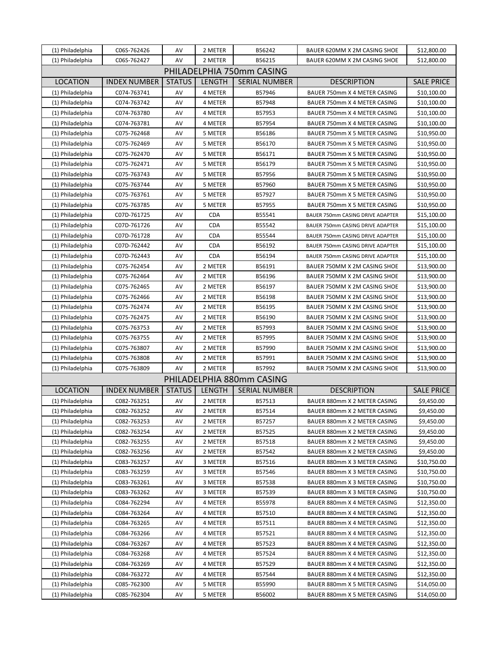| (1) Philadelphia          | C06S-762426         | AV            | 2 METER       | B56242                    | BAUER 620MM X 2M CASING SHOE     | \$12,800.00       |  |
|---------------------------|---------------------|---------------|---------------|---------------------------|----------------------------------|-------------------|--|
| (1) Philadelphia          | C06S-762427         | AV            | 2 METER       | B56215                    | BAUER 620MM X 2M CASING SHOE     | \$12,800.00       |  |
| PHILADELPHIA 750mm CASING |                     |               |               |                           |                                  |                   |  |
| <b>LOCATION</b>           | <b>INDEX NUMBER</b> | <b>STATUS</b> | <b>LENGTH</b> | <b>SERIAL NUMBER</b>      | <b>DESCRIPTION</b>               | <b>SALE PRICE</b> |  |
| (1) Philadelphia          | C074-763741         | AV            | 4 METER       | B57946                    | BAUER 750mm X 4 METER CASING     | \$10,100.00       |  |
| (1) Philadelphia          | C074-763742         | AV            | 4 METER       | B57948                    | BAUER 750mm X 4 METER CASING     | \$10,100.00       |  |
| (1) Philadelphia          | C074-763780         | AV            | 4 METER       | B57953                    | BAUER 750mm X 4 METER CASING     | \$10,100.00       |  |
| (1) Philadelphia          | C074-763781         | AV            | 4 METER       | B57954                    | BAUER 750mm X 4 METER CASING     | \$10,100.00       |  |
| (1) Philadelphia          | C075-762468         | AV            | 5 METER       | B56186                    | BAUER 750mm X 5 METER CASING     | \$10,950.00       |  |
| (1) Philadelphia          | C075-762469         | AV            | 5 METER       | B56170                    | BAUER 750mm X 5 METER CASING     | \$10,950.00       |  |
| (1) Philadelphia          | C075-762470         | AV            | 5 METER       | B56171                    | BAUER 750mm X 5 METER CASING     | \$10,950.00       |  |
| (1) Philadelphia          | C075-762471         | AV            | 5 METER       | B56179                    | BAUER 750mm X 5 METER CASING     | \$10,950.00       |  |
| (1) Philadelphia          | C075-763743         | AV            | 5 METER       | B57956                    | BAUER 750mm X 5 METER CASING     | \$10,950.00       |  |
| (1) Philadelphia          | C075-763744         | AV            | 5 METER       | B57960                    | BAUER 750mm X 5 METER CASING     | \$10,950.00       |  |
| (1) Philadelphia          | C075-763761         | AV            | 5 METER       | B57927                    | BAUER 750mm X 5 METER CASING     | \$10,950.00       |  |
| (1) Philadelphia          | C075-763785         | AV            | 5 METER       | B57955                    | BAUER 750mm X 5 METER CASING     | \$10,950.00       |  |
| (1) Philadelphia          | C07D-761725         | AV            | <b>CDA</b>    | B55541                    | BAUER 750mm CASING DRIVE ADAPTER | \$15,100.00       |  |
| (1) Philadelphia          | C07D-761726         | AV            | <b>CDA</b>    | B55542                    | BAUER 750mm CASING DRIVE ADAPTER | \$15,100.00       |  |
| (1) Philadelphia          | C07D-761728         | AV            | <b>CDA</b>    | B55544                    | BAUER 750mm CASING DRIVE ADAPTER | \$15,100.00       |  |
| (1) Philadelphia          | C07D-762442         | AV            | <b>CDA</b>    | B56192                    | BAUER 750mm CASING DRIVE ADAPTER | \$15,100.00       |  |
| (1) Philadelphia          | C07D-762443         | AV            | <b>CDA</b>    | B56194                    | BAUER 750mm CASING DRIVE ADAPTER | \$15,100.00       |  |
| (1) Philadelphia          | C07S-762454         | AV            | 2 METER       | B56191                    | BAUER 750MM X 2M CASING SHOE     | \$13,900.00       |  |
| (1) Philadelphia          | C07S-762464         | AV            | 2 METER       | B56196                    | BAUER 750MM X 2M CASING SHOE     | \$13,900.00       |  |
| (1) Philadelphia          | C07S-762465         | AV            | 2 METER       | B56197                    | BAUER 750MM X 2M CASING SHOE     | \$13,900.00       |  |
| (1) Philadelphia          | C07S-762466         | AV            | 2 METER       | B56198                    | BAUER 750MM X 2M CASING SHOE     | \$13,900.00       |  |
| (1) Philadelphia          | C07S-762474         | AV            | 2 METER       | B56195                    | BAUER 750MM X 2M CASING SHOE     | \$13,900.00       |  |
| (1) Philadelphia          | C07S-762475         | AV            | 2 METER       | B56190                    | BAUER 750MM X 2M CASING SHOE     | \$13,900.00       |  |
| (1) Philadelphia          | C07S-763753         | AV            | 2 METER       | B57993                    | BAUER 750MM X 2M CASING SHOE     | \$13,900.00       |  |
| (1) Philadelphia          | C07S-763755         | AV            | 2 METER       | B57995                    | BAUER 750MM X 2M CASING SHOE     | \$13,900.00       |  |
| (1) Philadelphia          | C07S-763807         | AV            | 2 METER       | B57990                    | BAUER 750MM X 2M CASING SHOE     | \$13,900.00       |  |
| (1) Philadelphia          | C07S-763808         | AV            | 2 METER       | B57991                    | BAUER 750MM X 2M CASING SHOE     | \$13,900.00       |  |
| (1) Philadelphia          | C07S-763809         | AV            | 2 METER       | B57992                    | BAUER 750MM X 2M CASING SHOE     | \$13,900.00       |  |
|                           |                     |               |               | PHILADELPHIA 880mm CASING |                                  |                   |  |
| <b>LOCATION</b>           | <b>INDEX NUMBER</b> | <b>STATUS</b> | <b>LENGTH</b> | <b>SERIAL NUMBER</b>      | <b>DESCRIPTION</b>               | <b>SALE PRICE</b> |  |
| (1) Philadelphia          | C082-763251         | AV            | 2 METER       | B57513                    | BAUER 880mm X 2 METER CASING     | \$9,450.00        |  |
| (1) Philadelphia          | C082-763252         | AV            | 2 METER       | B57514                    | BAUER 880mm X 2 METER CASING     | \$9,450.00        |  |
| (1) Philadelphia          | C082-763253         | AV            | 2 METER       | B57257                    | BAUER 880mm X 2 METER CASING     | \$9,450.00        |  |
| (1) Philadelphia          | C082-763254         | AV            | 2 METER       | B57525                    | BAUER 880mm X 2 METER CASING     | \$9,450.00        |  |
| (1) Philadelphia          | C082-763255         | AV            | 2 METER       | B57518                    | BAUER 880mm X 2 METER CASING     | \$9,450.00        |  |
| (1) Philadelphia          | C082-763256         | AV            | 2 METER       | B57542                    | BAUER 880mm X 2 METER CASING     | \$9,450.00        |  |
| (1) Philadelphia          | C083-763257         | AV            | 3 METER       | B57516                    | BAUER 880mm X 3 METER CASING     | \$10,750.00       |  |
| (1) Philadelphia          | C083-763259         | AV            | 3 METER       | B57546                    | BAUER 880mm X 3 METER CASING     | \$10,750.00       |  |
| (1) Philadelphia          | C083-763261         | AV            | 3 METER       | B57538                    | BAUER 880mm X 3 METER CASING     | \$10,750.00       |  |
| (1) Philadelphia          | C083-763262         | AV            | 3 METER       | B57539                    | BAUER 880mm X 3 METER CASING     | \$10,750.00       |  |
| (1) Philadelphia          | C084-762294         | AV            | 4 METER       | B55978                    | BAUER 880mm X 4 METER CASING     | \$12,350.00       |  |
| (1) Philadelphia          | C084-763264         | AV            | 4 METER       | B57510                    | BAUER 880mm X 4 METER CASING     | \$12,350.00       |  |
| (1) Philadelphia          | C084-763265         | AV            | 4 METER       | B57511                    | BAUER 880mm X 4 METER CASING     | \$12,350.00       |  |
| (1) Philadelphia          | C084-763266         | AV            | 4 METER       | B57521                    | BAUER 880mm X 4 METER CASING     | \$12,350.00       |  |
| (1) Philadelphia          | C084-763267         | AV            | 4 METER       | B57523                    | BAUER 880mm X 4 METER CASING     | \$12,350.00       |  |
| (1) Philadelphia          | C084-763268         | AV            | 4 METER       | B57524                    | BAUER 880mm X 4 METER CASING     | \$12,350.00       |  |
| (1) Philadelphia          | C084-763269         | AV            | 4 METER       | B57529                    | BAUER 880mm X 4 METER CASING     | \$12,350.00       |  |
| (1) Philadelphia          | C084-763272         | AV            | 4 METER       | B57544                    | BAUER 880mm X 4 METER CASING     | \$12,350.00       |  |
| (1) Philadelphia          | C085-762300         | AV            | 5 METER       | B55990                    | BAUER 880mm X 5 METER CASING     | \$14,050.00       |  |
| (1) Philadelphia          | C085-762304         | AV            | 5 METER       | B56002                    | BAUER 880mm X 5 METER CASING     | \$14,050.00       |  |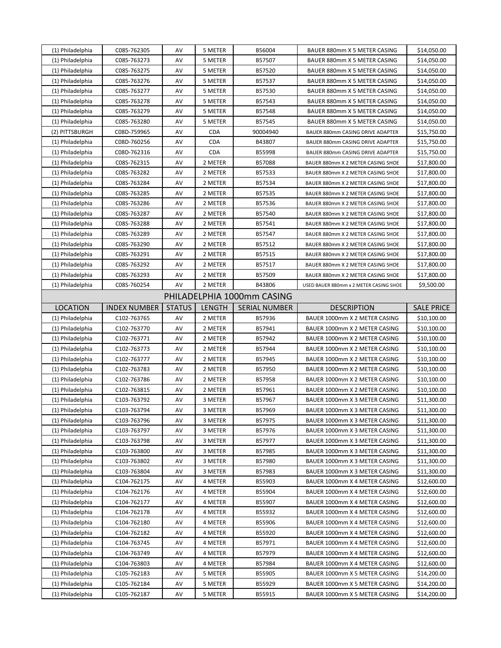| (1) Philadelphia | C085-762305         | AV            | 5 METER    | B56004                     | BAUER 880mm X 5 METER CASING           | \$14,050.00       |
|------------------|---------------------|---------------|------------|----------------------------|----------------------------------------|-------------------|
| (1) Philadelphia | C085-763273         | AV            | 5 METER    | B57507                     | BAUER 880mm X 5 METER CASING           | \$14,050.00       |
| (1) Philadelphia | C085-763275         | AV            | 5 METER    | B57520                     | BAUER 880mm X 5 METER CASING           | \$14,050.00       |
| (1) Philadelphia | C085-763276         | AV            | 5 METER    | B57537                     | BAUER 880mm X 5 METER CASING           | \$14,050.00       |
| (1) Philadelphia | C085-763277         | AV            | 5 METER    | B57530                     | BAUER 880mm X 5 METER CASING           | \$14,050.00       |
| (1) Philadelphia | C085-763278         | AV            | 5 METER    | B57543                     | BAUER 880mm X 5 METER CASING           | \$14,050.00       |
| (1) Philadelphia | C085-763279         | AV            | 5 METER    | B57548                     | BAUER 880mm X 5 METER CASING           | \$14,050.00       |
| (1) Philadelphia | C085-763280         | AV            | 5 METER    | B57545                     | BAUER 880mm X 5 METER CASING           | \$14,050.00       |
| (2) PITTSBURGH   | C08D-759965         | AV            | <b>CDA</b> | 90004940                   | BAUER 880mm CASING DRIVE ADAPTER       | \$15,750.00       |
| (1) Philadelphia | C08D-760256         | AV            | <b>CDA</b> | B43807                     | BAUER 880mm CASING DRIVE ADAPTER       | \$15,750.00       |
| (1) Philadelphia | C08D-762316         | AV            | CDA        | B55998                     | BAUER 880mm CASING DRIVE ADAPTER       | \$15,750.00       |
| (1) Philadelphia | C08S-762315         | AV            | 2 METER    | B57088                     | BAUER 880mm X 2 METER CASING SHOE      | \$17,800.00       |
| (1) Philadelphia | C08S-763282         | AV            | 2 METER    | B57533                     | BAUER 880mm X 2 METER CASING SHOE      | \$17,800.00       |
| (1) Philadelphia | C08S-763284         | AV            | 2 METER    | B57534                     | BAUER 880mm X 2 METER CASING SHOE      | \$17,800.00       |
| (1) Philadelphia | C08S-763285         | AV            | 2 METER    | B57535                     | BAUER 880mm X 2 METER CASING SHOE      | \$17,800.00       |
| (1) Philadelphia | C08S-763286         | AV            | 2 METER    | B57536                     | BAUER 880mm X 2 METER CASING SHOE      | \$17,800.00       |
| (1) Philadelphia | C08S-763287         | AV            | 2 METER    | B57540                     | BAUER 880mm X 2 METER CASING SHOE      | \$17,800.00       |
| (1) Philadelphia | C08S-763288         | AV            | 2 METER    | B57541                     | BAUER 880mm X 2 METER CASING SHOE      | \$17,800.00       |
| (1) Philadelphia | C08S-763289         | AV            | 2 METER    | B57547                     | BAUER 880mm X 2 METER CASING SHOE      | \$17,800.00       |
| (1) Philadelphia | C08S-763290         | AV            | 2 METER    | B57512                     | BAUER 880mm X 2 METER CASING SHOE      | \$17,800.00       |
| (1) Philadelphia | C08S-763291         | AV            | 2 METER    | B57515                     | BAUER 880mm X 2 METER CASING SHOE      | \$17,800.00       |
| (1) Philadelphia | C08S-763292         | AV            | 2 METER    | B57517                     | BAUER 880mm X 2 METER CASING SHOE      | \$17,800.00       |
| (1) Philadelphia | C08S-763293         | AV            | 2 METER    | B57509                     | BAUER 880mm X 2 METER CASING SHOE      | \$17,800.00       |
| (1) Philadelphia | C08S-760254         | AV            | 2 METER    | B43806                     | USED BAUER 880mm x 2 METER CASING SHOE | \$9,500.00        |
|                  |                     |               |            | PHILADELPHIA 1000mm CASING |                                        |                   |
| <b>LOCATION</b>  | <b>INDEX NUMBER</b> | <b>STATUS</b> | LENGTH     | <b>SERIAL NUMBER</b>       | <b>DESCRIPTION</b>                     | <b>SALE PRICE</b> |
| (1) Philadelphia | C102-763765         | AV            | 2 METER    | B57936                     |                                        |                   |
|                  |                     |               |            |                            |                                        |                   |
|                  |                     |               |            |                            | BAUER 1000mm X 2 METER CASING          | \$10,100.00       |
| (1) Philadelphia | C102-763770         | AV            | 2 METER    | B57941                     | BAUER 1000mm X 2 METER CASING          | \$10,100.00       |
| (1) Philadelphia | C102-763771         | AV            | 2 METER    | B57942                     | BAUER 1000mm X 2 METER CASING          | \$10,100.00       |
| (1) Philadelphia | C102-763773         | AV            | 2 METER    | B57944                     | BAUER 1000mm X 2 METER CASING          | \$10,100.00       |
| (1) Philadelphia | C102-763777         | AV            | 2 METER    | B57945                     | BAUER 1000mm X 2 METER CASING          | \$10,100.00       |
| (1) Philadelphia | C102-763783         | AV            | 2 METER    | B57950                     | BAUER 1000mm X 2 METER CASING          | \$10,100.00       |
| (1) Philadelphia | C102-763786         | AV            | 2 METER    | B57958                     | BAUER 1000mm X 2 METER CASING          | \$10,100.00       |
| (1) Philadelphia | C102-763815         | AV            | 2 METER    | B57961                     | BAUER 1000mm X 2 METER CASING          | \$10,100.00       |
| (1) Philadelphia | C103-763792         | AV            | 3 METER    | B57967                     | BAUER 1000mm X 3 METER CASING          | \$11,300.00       |
| (1) Philadelphia | C103-763794         | AV            | 3 METER    | B57969                     | BAUER 1000mm X 3 METER CASING          | \$11,300.00       |
| (1) Philadelphia | C103-763796         | AV            | 3 METER    | B57975                     | BAUER 1000mm X 3 METER CASING          | \$11,300.00       |
| (1) Philadelphia | C103-763797         | AV            | 3 METER    | B57976                     | BAUER 1000mm X 3 METER CASING          | \$11,300.00       |
| (1) Philadelphia | C103-763798         | AV            | 3 METER    | B57977                     | BAUER 1000mm X 3 METER CASING          | \$11,300.00       |
| (1) Philadelphia | C103-763800         | AV            | 3 METER    | B57985                     | BAUER 1000mm X 3 METER CASING          | \$11,300.00       |
| (1) Philadelphia | C103-763802         | AV            | 3 METER    | B57980                     | BAUER 1000mm X 3 METER CASING          | \$11,300.00       |
| (1) Philadelphia | C103-763804         | AV            | 3 METER    | B57983                     | BAUER 1000mm X 3 METER CASING          | \$11,300.00       |
| (1) Philadelphia | C104-762175         | AV            | 4 METER    | B55903                     | BAUER 1000mm X 4 METER CASING          | \$12,600.00       |
| (1) Philadelphia | C104-762176         | AV            | 4 METER    | B55904                     | BAUER 1000mm X 4 METER CASING          | \$12,600.00       |
| (1) Philadelphia | C104-762177         | AV            | 4 METER    | B55907                     | BAUER 1000mm X 4 METER CASING          | \$12,600.00       |
| (1) Philadelphia | C104-762178         | AV            | 4 METER    | B55932                     | BAUER 1000mm X 4 METER CASING          | \$12,600.00       |
| (1) Philadelphia | C104-762180         | AV            | 4 METER    | B55906                     | BAUER 1000mm X 4 METER CASING          | \$12,600.00       |
| (1) Philadelphia | C104-762182         | AV            | 4 METER    | B55920                     | BAUER 1000mm X 4 METER CASING          | \$12,600.00       |
| (1) Philadelphia | C104-763745         | AV            | 4 METER    | B57971                     | BAUER 1000mm X 4 METER CASING          | \$12,600.00       |
| (1) Philadelphia | C104-763749         | AV            | 4 METER    | B57979                     | BAUER 1000mm X 4 METER CASING          | \$12,600.00       |
| (1) Philadelphia | C104-763803         | AV            | 4 METER    | B57984                     | BAUER 1000mm X 4 METER CASING          | \$12,600.00       |
| (1) Philadelphia | C105-762183         | AV            | 5 METER    | B55905                     | BAUER 1000mm X 5 METER CASING          | \$14,200.00       |
| (1) Philadelphia | C105-762184         | AV            | 5 METER    | B55929                     | BAUER 1000mm X 5 METER CASING          | \$14,200.00       |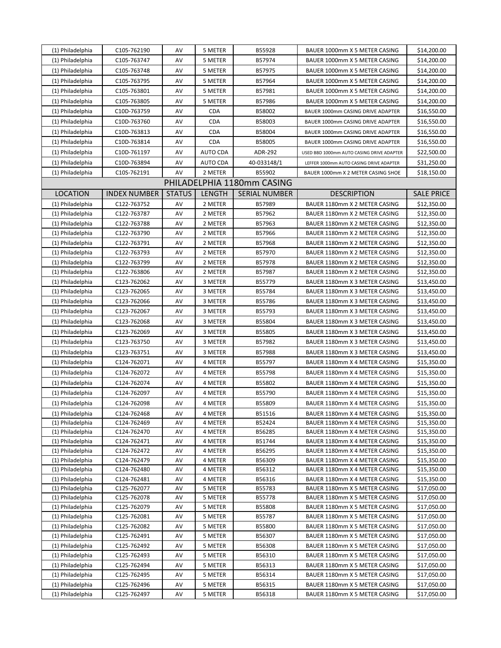| (1) Philadelphia                     | C105-762190                | AV            | 5 METER            | B55928                     | BAUER 1000mm X 5 METER CASING                                  | \$14,200.00                |
|--------------------------------------|----------------------------|---------------|--------------------|----------------------------|----------------------------------------------------------------|----------------------------|
| (1) Philadelphia                     | C105-763747                | AV            | 5 METER            | B57974                     | BAUER 1000mm X 5 METER CASING                                  | \$14,200.00                |
| (1) Philadelphia                     | C105-763748                | AV            | 5 METER            | B57975                     | BAUER 1000mm X 5 METER CASING                                  | \$14,200.00                |
| (1) Philadelphia                     | C105-763795                | AV            | 5 METER            | B57964                     | BAUER 1000mm X 5 METER CASING                                  | \$14,200.00                |
| (1) Philadelphia                     | C105-763801                | AV            | 5 METER            | B57981                     | BAUER 1000mm X 5 METER CASING                                  | \$14,200.00                |
| (1) Philadelphia                     | C105-763805                | AV            | 5 METER            | B57986                     | BAUER 1000mm X 5 METER CASING                                  | \$14,200.00                |
| (1) Philadelphia                     | C10D-763759                | AV            | <b>CDA</b>         | B58002                     | BAUER 1000mm CASING DRIVE ADAPTER                              | \$16,550.00                |
| (1) Philadelphia                     | C10D-763760                | AV            | <b>CDA</b>         | B58003                     | BAUER 1000mm CASING DRIVE ADAPTER                              | \$16,550.00                |
| (1) Philadelphia                     | C10D-763813                | AV            | CDA                | B58004                     | BAUER 1000mm CASING DRIVE ADAPTER                              | \$16,550.00                |
| (1) Philadelphia                     | C10D-763814                | AV            | <b>CDA</b>         | B58005                     | BAUER 1000mm CASING DRIVE ADAPTER                              | \$16,550.00                |
| (1) Philadelphia                     | C10D-761197                | AV            | AUTO CDA           | ADR-292                    | USED BBD 1000mm AUTO CASING DRIVE ADAPTER                      | \$22,500.00                |
| (1) Philadelphia                     | C10D-763894                | AV            | AUTO CDA           | 40-033148/1                | LEFFER 1000mm AUTO CASING DRIVE ADAPTER                        | \$31,250.00                |
| (1) Philadelphia                     | C10S-762191                | AV            | 2 METER            | B55902                     | BAUER 1000mm X 2 METER CASING SHOE                             | \$18,150.00                |
|                                      |                            |               |                    | PHILADELPHIA 1180mm CASING |                                                                |                            |
| <b>LOCATION</b>                      | <b>INDEX NUMBER</b>        | <b>STATUS</b> | LENGTH             | <b>SERIAL NUMBER</b>       | <b>DESCRIPTION</b>                                             | <b>SALE PRICE</b>          |
| (1) Philadelphia                     | C122-763752                | AV            | 2 METER            | B57989                     | BAUER 1180mm X 2 METER CASING                                  | \$12,350.00                |
| (1) Philadelphia                     | C122-763787                | AV            | 2 METER            | B57962                     | BAUER 1180mm X 2 METER CASING                                  | \$12,350.00                |
| (1) Philadelphia                     | C122-763788                | AV            | 2 METER            | B57963                     | BAUER 1180mm X 2 METER CASING                                  | \$12,350.00                |
| (1) Philadelphia                     | C122-763790                | AV            | 2 METER            | B57966                     | BAUER 1180mm X 2 METER CASING                                  | \$12,350.00                |
| (1) Philadelphia                     | C122-763791                | AV            | 2 METER            | B57968                     | BAUER 1180mm X 2 METER CASING                                  | \$12,350.00                |
| (1) Philadelphia                     | C122-763793                | AV            | 2 METER            | B57970                     | BAUER 1180mm X 2 METER CASING                                  | \$12,350.00                |
| (1) Philadelphia                     | C122-763799                | AV            | 2 METER            | B57978                     | BAUER 1180mm X 2 METER CASING                                  | \$12,350.00                |
| (1) Philadelphia                     | C122-763806                | AV            | 2 METER            | B57987                     | BAUER 1180mm X 2 METER CASING                                  | \$12,350.00                |
| (1) Philadelphia                     | C123-762062                | AV            | 3 METER            | B55779                     | BAUER 1180mm X 3 METER CASING                                  | \$13,450.00                |
| (1) Philadelphia                     | C123-762065                | AV            | 3 METER            | B55784                     | BAUER 1180mm X 3 METER CASING                                  | \$13,450.00                |
| (1) Philadelphia                     | C123-762066                | AV            | 3 METER            | B55786                     | BAUER 1180mm X 3 METER CASING                                  | \$13,450.00                |
| (1) Philadelphia                     | C123-762067                | AV            | 3 METER            | B55793                     | BAUER 1180mm X 3 METER CASING                                  | \$13,450.00                |
| (1) Philadelphia                     | C123-762068                | AV            | 3 METER            | B55804                     | BAUER 1180mm X 3 METER CASING                                  | \$13,450.00                |
| (1) Philadelphia                     | C123-762069                | AV            | 3 METER            | B55805                     | BAUER 1180mm X 3 METER CASING                                  | \$13,450.00                |
| (1) Philadelphia                     | C123-763750                | AV            | 3 METER            | B57982                     | BAUER 1180mm X 3 METER CASING                                  | \$13,450.00                |
| (1) Philadelphia                     | C123-763751                | AV            | 3 METER            | B57988                     | BAUER 1180mm X 3 METER CASING                                  | \$13,450.00                |
| (1) Philadelphia                     | C124-762071                | AV            | 4 METER            | B55797                     | BAUER 1180mm X 4 METER CASING                                  | \$15,350.00                |
| (1) Philadelphia                     | C124-762072                | AV            | 4 METER            | B55798                     | BAUER 1180mm X 4 METER CASING                                  | \$15,350.00                |
| (1) Philadelphia                     | C124-762074                | AV            | 4 METER            | B55802                     | BAUER 1180mm X 4 METER CASING                                  | \$15,350.00                |
| (1) Philadelphia                     | C124-762097                | AV            | 4 METER            | B55790                     | BAUER 1180mm X 4 METER CASING                                  | \$15,350.00                |
| (1) Philadelphia                     | C124-762098                | AV            | 4 METER            | B55809                     | BAUER 1180mm X 4 METER CASING                                  |                            |
|                                      |                            |               |                    |                            |                                                                | \$15,350.00                |
| (1) Philadelphia<br>(1) Philadelphia | C124-762468<br>C124-762469 | AV<br>AV      | 4 METER<br>4 METER | B51516<br>B52424           | BAUER 1180mm X 4 METER CASING<br>BAUER 1180mm X 4 METER CASING | \$15,350.00<br>\$15,350.00 |
| (1) Philadelphia                     | C124-762470                | AV            | 4 METER            | B56285                     | BAUER 1180mm X 4 METER CASING                                  | \$15,350.00                |
| (1) Philadelphia                     | C124-762471                | AV            | 4 METER            | B51744                     | BAUER 1180mm X 4 METER CASING                                  | \$15,350.00                |
| (1) Philadelphia                     | C124-762472                | AV            | 4 METER            | B56295                     | BAUER 1180mm X 4 METER CASING                                  | \$15,350.00                |
| (1) Philadelphia                     | C124-762479                | AV            | 4 METER            | B56309                     | BAUER 1180mm X 4 METER CASING                                  | \$15,350.00                |
| (1) Philadelphia                     | C124-762480                | AV            | 4 METER            | B56312                     | BAUER 1180mm X 4 METER CASING                                  | \$15,350.00                |
| (1) Philadelphia                     | C124-762481                | AV            | 4 METER            | B56316                     | BAUER 1180mm X 4 METER CASING                                  | \$15,350.00                |
| (1) Philadelphia                     | C125-762077                | AV            | 5 METER            | B55783                     | BAUER 1180mm X 5 METER CASING                                  | \$17,050.00                |
| (1) Philadelphia                     | C125-762078                | AV            | 5 METER            | B55778                     | BAUER 1180mm X 5 METER CASING                                  | \$17,050.00                |
| (1) Philadelphia                     | C125-762079                | AV            | 5 METER            | B55808                     | BAUER 1180mm X 5 METER CASING                                  | \$17,050.00                |
| (1) Philadelphia                     | C125-762081                | AV            | 5 METER            | B55787                     | BAUER 1180mm X 5 METER CASING                                  | \$17,050.00                |
| (1) Philadelphia                     | C125-762082                | AV            | 5 METER            | B55800                     | BAUER 1180mm X 5 METER CASING                                  | \$17,050.00                |
| (1) Philadelphia                     | C125-762491                | AV            | 5 METER            | B56307                     | BAUER 1180mm X 5 METER CASING                                  | \$17,050.00                |
| (1) Philadelphia                     | C125-762492                | AV            | 5 METER            | B56308                     | BAUER 1180mm X 5 METER CASING                                  | \$17,050.00                |
| (1) Philadelphia                     | C125-762493                | AV            | 5 METER            | B56310                     | BAUER 1180mm X 5 METER CASING                                  | \$17,050.00                |
| (1) Philadelphia                     | C125-762494                | AV            | 5 METER            | B56313                     | BAUER 1180mm X 5 METER CASING                                  | \$17,050.00                |
| (1) Philadelphia                     | C125-762495                | AV            | 5 METER            | B56314                     | BAUER 1180mm X 5 METER CASING                                  | \$17,050.00                |
| (1) Philadelphia                     | C125-762496                | AV            | 5 METER            | B56315                     | BAUER 1180mm X 5 METER CASING                                  | \$17,050.00                |
| (1) Philadelphia                     | C125-762497                | AV            | 5 METER            | B56318                     | BAUER 1180mm X 5 METER CASING                                  | \$17,050.00                |